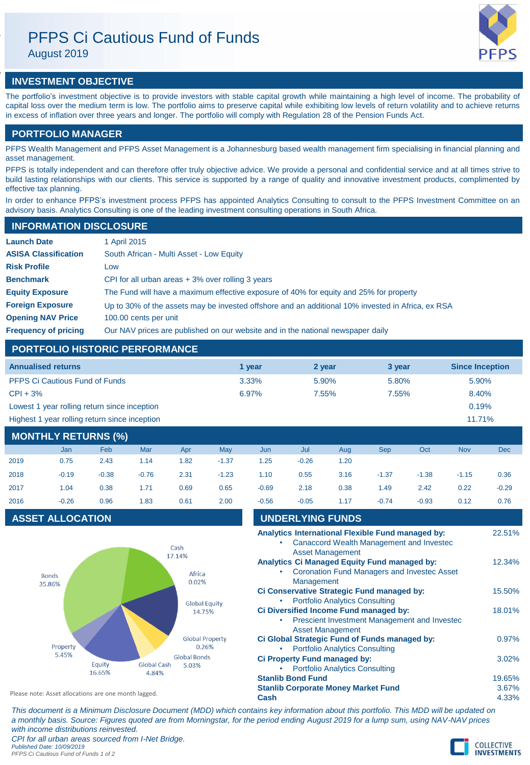# PFPS Ci Cautious Fund of Funds

August 2019



# **INVESTMENT OBJECTIVE**

The portfolio's investment objective is to provide investors with stable capital growth while maintaining a high level of income. The probability of capital loss over the medium term is low. The portfolio aims to preserve capital while exhibiting low levels of return volatility and to achieve returns in excess of inflation over three years and longer. The portfolio will comply with Regulation 28 of the Pension Funds Act.

# **PORTFOLIO MANAGER**

PFPS Wealth Management and PFPS Asset Management is a Johannesburg based wealth management firm specialising in financial planning and asset management.

PFPS is totally independent and can therefore offer truly objective advice. We provide a personal and confidential service and at all times strive to build lasting relationships with our clients. This service is supported by a range of quality and innovative investment products, complimented by effective tax planning.

In order to enhance PFPS's investment process PFPS has appointed Analytics Consulting to consult to the PFPS Investment Committee on an advisory basis. Analytics Consulting is one of the leading investment consulting operations in South Africa.

## **INFORMATION DISCLOSURE**

| <b>Launch Date</b>          | 1 April 2015                                                                                      |
|-----------------------------|---------------------------------------------------------------------------------------------------|
| <b>ASISA Classification</b> | South African - Multi Asset - Low Equity                                                          |
| <b>Risk Profile</b>         | Low                                                                                               |
| <b>Benchmark</b>            | CPI for all urban areas $+3\%$ over rolling 3 years                                               |
| <b>Equity Exposure</b>      | The Fund will have a maximum effective exposure of 40% for equity and 25% for property            |
| <b>Foreign Exposure</b>     | Up to 30% of the assets may be invested offshore and an additional 10% invested in Africa, ex RSA |
| <b>Opening NAV Price</b>    | 100.00 cents per unit                                                                             |
| <b>Frequency of pricing</b> | Our NAV prices are published on our website and in the national newspaper daily                   |

# **PORTFOLIO HISTORIC PERFORMANCE**

| <b>Annualised returns</b>                     | 1 vear | 2 year | 3 year | <b>Since Inception</b> |
|-----------------------------------------------|--------|--------|--------|------------------------|
| <b>PFPS Ci Cautious Fund of Funds</b>         | 3.33%  | 5.90%  | 5.80%  | 5.90%                  |
| $CPI + 3%$                                    | 6.97%  | 7.55%  | 7.55%  | 8.40%                  |
| Lowest 1 year rolling return since inception  |        |        |        | 0.19%                  |
| Highest 1 year rolling return since inception |        |        |        | 11.71%                 |

# **MONTHLY RETURNS (%)**

|      | Jan     | Feb     | Mar     | Apr  | May     | Jun     | Jul     | Aug  | <b>Sep</b> | Oct     | <b>Nov</b> | <b>Dec</b> |
|------|---------|---------|---------|------|---------|---------|---------|------|------------|---------|------------|------------|
| 2019 | 0.75    | 2.43    | 1.14    | 1.82 | $-1.37$ | 1.25    | $-0.26$ | 1.20 |            |         |            |            |
| 2018 | $-0.19$ | $-0.38$ | $-0.76$ | 2.31 | $-1.23$ | 1.10    | 0.55    | 3.16 | $-1.37$    | $-1.38$ | $-1.15$    | 0.36       |
| 2017 | 1.04    | 0.38    | 1.71    | 0.69 | 0.65    | $-0.69$ | 2.18    | 0.38 | 1.49       | 2.42    | 0.22       | $-0.29$    |
| 2016 | $-0.26$ | 0.96    | 1.83    | 0.61 | 2.00    | $-0.56$ | $-0.05$ | 1.17 | $-0.74$    | $-0.93$ | 0.12       | 0.76       |

# **ASSET ALLOCATION**



| $-0.56$                                                                                                           | $-0.05$                                                           | 1.17                                  | $-0.74$ | $-0.93$                                                                                       | 0.12                     | 0.76   |
|-------------------------------------------------------------------------------------------------------------------|-------------------------------------------------------------------|---------------------------------------|---------|-----------------------------------------------------------------------------------------------|--------------------------|--------|
|                                                                                                                   | <b>UNDERLYING FUNDS</b>                                           |                                       |         |                                                                                               |                          |        |
|                                                                                                                   |                                                                   | <b>Asset Management</b>               |         | Analytics International Flexible Fund managed by:<br>Canaccord Wealth Management and Investec |                          | 22.51% |
|                                                                                                                   | <b>Analytics Ci Managed Equity Fund managed by:</b><br>Management |                                       |         | <b>Coronation Fund Managers and Investec Asset</b>                                            |                          | 12.34% |
|                                                                                                                   | Ci Conservative Strategic Fund managed by:                        | <b>Portfolio Analytics Consulting</b> |         |                                                                                               |                          | 15.50% |
| Ci Diversified Income Fund managed by:<br>Prescient Investment Management and Investec<br><b>Asset Management</b> |                                                                   |                                       |         |                                                                                               |                          | 18.01% |
|                                                                                                                   | Ci Global Strategic Fund of Funds managed by:                     | <b>Portfolio Analytics Consulting</b> |         |                                                                                               |                          | 0.97%  |
|                                                                                                                   | Ci Property Fund managed by:                                      | <b>Portfolio Analytics Consulting</b> |         |                                                                                               |                          | 3.02%  |
| <b>Stanlib Bond Fund</b><br><b>Stanlib Corporate Money Market Fund</b><br>Cash                                    |                                                                   |                                       |         |                                                                                               | 19.65%<br>3.67%<br>4.33% |        |

*This document is a Minimum Disclosure Document (MDD) which contains key information about this portfolio. This MDD will be updated on a monthly basis. Source: Figures quoted are from Morningstar, for the period ending August 2019 for a lump sum, using NAV-NAV prices with income distributions reinvested. CPI for all urban areas sourced from I-Net Bridge.*

*Published Date: 10/09/2019 PFPS Ci Cautious Fund of Funds 1 of 2*

Please note: Asset allocations are one month lagged.